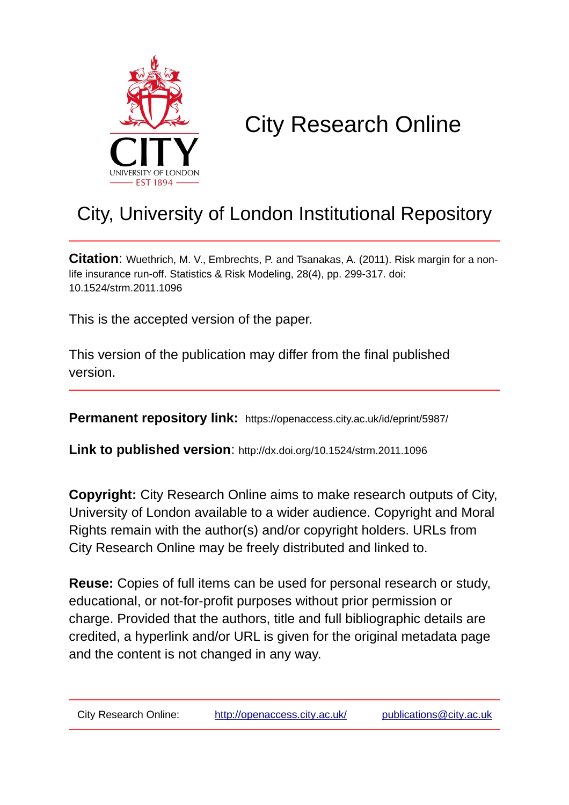

# City Research Online

## City, University of London Institutional Repository

**Citation**: Wuethrich, M. V., Embrechts, P. and Tsanakas, A. (2011). Risk margin for a nonlife insurance run-off. Statistics & Risk Modeling, 28(4), pp. 299-317. doi: 10.1524/strm.2011.1096

This is the accepted version of the paper.

This version of the publication may differ from the final published version.

**Permanent repository link:** https://openaccess.city.ac.uk/id/eprint/5987/

**Link to published version**: http://dx.doi.org/10.1524/strm.2011.1096

**Copyright:** City Research Online aims to make research outputs of City, University of London available to a wider audience. Copyright and Moral Rights remain with the author(s) and/or copyright holders. URLs from City Research Online may be freely distributed and linked to.

**Reuse:** Copies of full items can be used for personal research or study, educational, or not-for-profit purposes without prior permission or charge. Provided that the authors, title and full bibliographic details are credited, a hyperlink and/or URL is given for the original metadata page and the content is not changed in any way.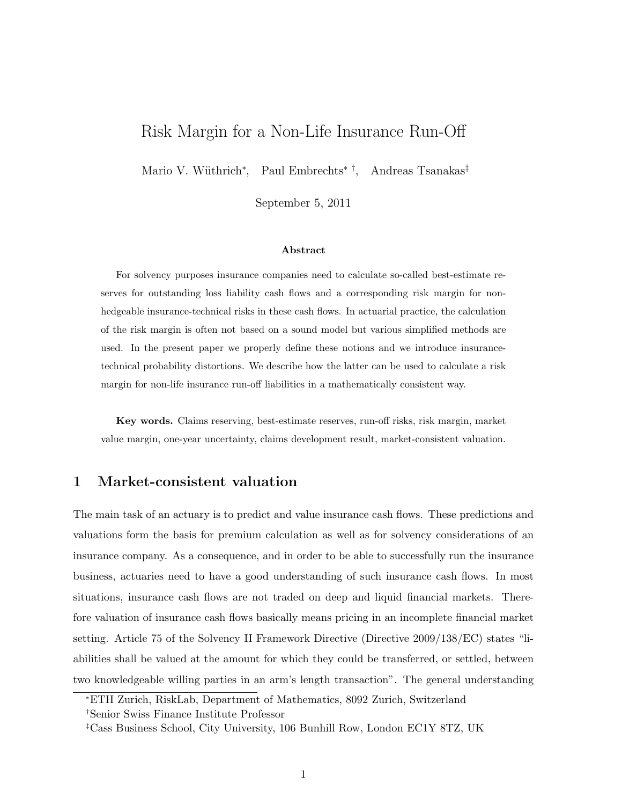## Risk Margin for a Non-Life Insurance Run-Off

Mario V. Wüthrich<sup>\*</sup>, Paul Embrechts<sup>\*†</sup>, Andreas Tsanakas<sup>‡</sup>

September 5, 2011

#### Abstract

For solvency purposes insurance companies need to calculate so-called best-estimate reserves for outstanding loss liability cash flows and a corresponding risk margin for nonhedgeable insurance-technical risks in these cash flows. In actuarial practice, the calculation of the risk margin is often not based on a sound model but various simplified methods are used. In the present paper we properly define these notions and we introduce insurancetechnical probability distortions. We describe how the latter can be used to calculate a risk margin for non-life insurance run-off liabilities in a mathematically consistent way.

Key words. Claims reserving, best-estimate reserves, run-off risks, risk margin, market value margin, one-year uncertainty, claims development result, market-consistent valuation.

## 1 Market-consistent valuation

The main task of an actuary is to predict and value insurance cash flows. These predictions and valuations form the basis for premium calculation as well as for solvency considerations of an insurance company. As a consequence, and in order to be able to successfully run the insurance business, actuaries need to have a good understanding of such insurance cash flows. In most situations, insurance cash flows are not traded on deep and liquid financial markets. Therefore valuation of insurance cash flows basically means pricing in an incomplete financial market setting. Article 75 of the Solvency II Framework Directive (Directive 2009/138/EC) states "liabilities shall be valued at the amount for which they could be transferred, or settled, between two knowledgeable willing parties in an arm's length transaction". The general understanding

<sup>∗</sup>ETH Zurich, RiskLab, Department of Mathematics, 8092 Zurich, Switzerland

<sup>†</sup>Senior Swiss Finance Institute Professor

<sup>‡</sup>Cass Business School, City University, 106 Bunhill Row, London EC1Y 8TZ, UK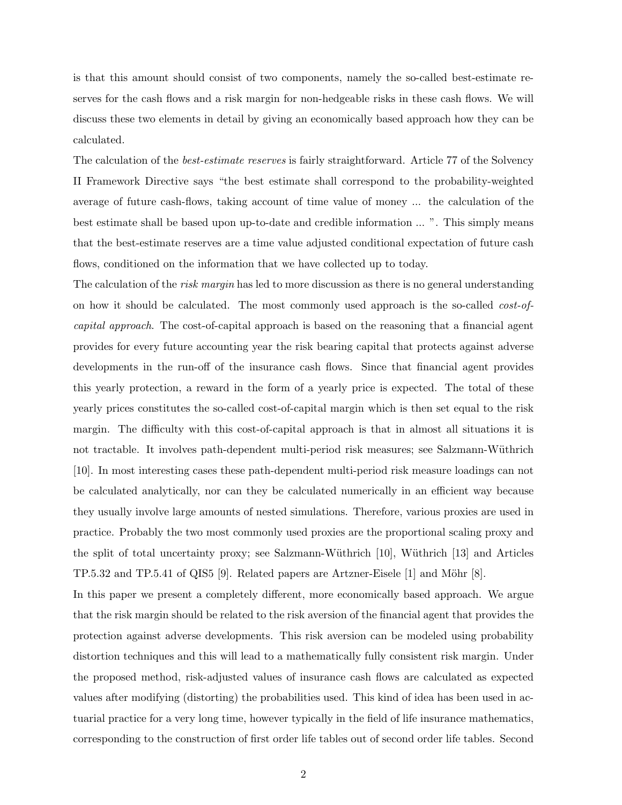is that this amount should consist of two components, namely the so-called best-estimate reserves for the cash flows and a risk margin for non-hedgeable risks in these cash flows. We will discuss these two elements in detail by giving an economically based approach how they can be calculated.

The calculation of the *best-estimate reserves* is fairly straightforward. Article 77 of the Solvency II Framework Directive says "the best estimate shall correspond to the probability-weighted average of future cash-flows, taking account of time value of money ... the calculation of the best estimate shall be based upon up-to-date and credible information ... ". This simply means that the best-estimate reserves are a time value adjusted conditional expectation of future cash flows, conditioned on the information that we have collected up to today.

The calculation of the risk margin has led to more discussion as there is no general understanding on how it should be calculated. The most commonly used approach is the so-called cost-ofcapital approach. The cost-of-capital approach is based on the reasoning that a financial agent provides for every future accounting year the risk bearing capital that protects against adverse developments in the run-off of the insurance cash flows. Since that financial agent provides this yearly protection, a reward in the form of a yearly price is expected. The total of these yearly prices constitutes the so-called cost-of-capital margin which is then set equal to the risk margin. The difficulty with this cost-of-capital approach is that in almost all situations it is not tractable. It involves path-dependent multi-period risk measures; see Salzmann-Wüthrich [10]. In most interesting cases these path-dependent multi-period risk measure loadings can not be calculated analytically, nor can they be calculated numerically in an efficient way because they usually involve large amounts of nested simulations. Therefore, various proxies are used in practice. Probably the two most commonly used proxies are the proportional scaling proxy and the split of total uncertainty proxy; see Salzmann-Wüthrich [10], Wüthrich [13] and Articles TP.5.32 and TP.5.41 of QIS5 [9]. Related papers are Artzner-Eisele  $[1]$  and Möhr  $[8]$ .

In this paper we present a completely different, more economically based approach. We argue that the risk margin should be related to the risk aversion of the financial agent that provides the protection against adverse developments. This risk aversion can be modeled using probability distortion techniques and this will lead to a mathematically fully consistent risk margin. Under the proposed method, risk-adjusted values of insurance cash flows are calculated as expected values after modifying (distorting) the probabilities used. This kind of idea has been used in actuarial practice for a very long time, however typically in the field of life insurance mathematics, corresponding to the construction of first order life tables out of second order life tables. Second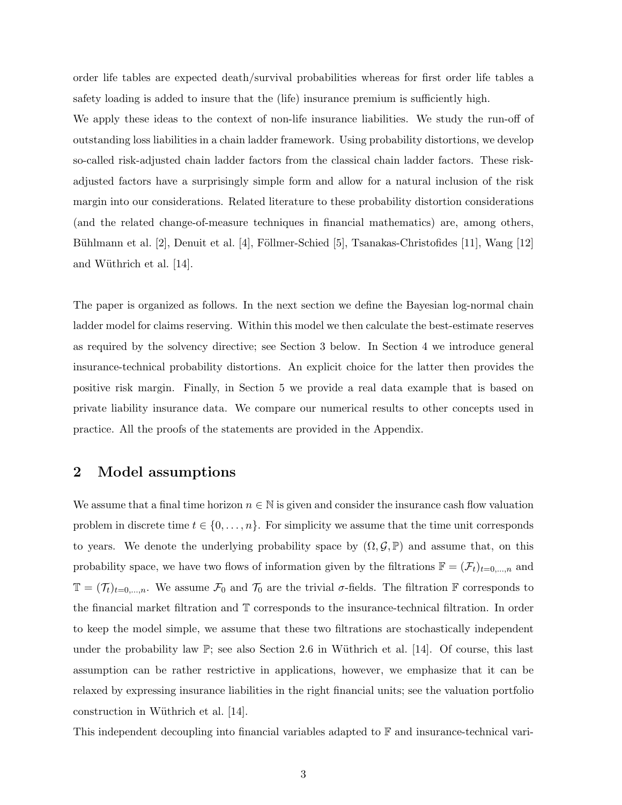order life tables are expected death/survival probabilities whereas for first order life tables a safety loading is added to insure that the (life) insurance premium is sufficiently high.

We apply these ideas to the context of non-life insurance liabilities. We study the run-off of outstanding loss liabilities in a chain ladder framework. Using probability distortions, we develop so-called risk-adjusted chain ladder factors from the classical chain ladder factors. These riskadjusted factors have a surprisingly simple form and allow for a natural inclusion of the risk margin into our considerations. Related literature to these probability distortion considerations (and the related change-of-measure techniques in financial mathematics) are, among others, Bühlmann et al. [2], Denuit et al. [4], Föllmer-Schied [5], Tsanakas-Christofides [11], Wang [12] and Wüthrich et al.  $[14]$ .

The paper is organized as follows. In the next section we define the Bayesian log-normal chain ladder model for claims reserving. Within this model we then calculate the best-estimate reserves as required by the solvency directive; see Section 3 below. In Section 4 we introduce general insurance-technical probability distortions. An explicit choice for the latter then provides the positive risk margin. Finally, in Section 5 we provide a real data example that is based on private liability insurance data. We compare our numerical results to other concepts used in practice. All the proofs of the statements are provided in the Appendix.

## 2 Model assumptions

We assume that a final time horizon  $n \in \mathbb{N}$  is given and consider the insurance cash flow valuation problem in discrete time  $t \in \{0, \ldots, n\}$ . For simplicity we assume that the time unit corresponds to years. We denote the underlying probability space by  $(\Omega, \mathcal{G}, \mathbb{P})$  and assume that, on this probability space, we have two flows of information given by the filtrations  $\mathbb{F} = (\mathcal{F}_t)_{t=0,\dots,n}$  and  $\mathbb{T} = (\mathcal{T}_t)_{t=0,\dots,n}$ . We assume  $\mathcal{F}_0$  and  $\mathcal{T}_0$  are the trivial  $\sigma$ -fields. The filtration  $\mathbb F$  corresponds to the financial market filtration and T corresponds to the insurance-technical filtration. In order to keep the model simple, we assume that these two filtrations are stochastically independent under the probability law  $\mathbb{P}$ ; see also Section 2.6 in Wüthrich et al. [14]. Of course, this last assumption can be rather restrictive in applications, however, we emphasize that it can be relaxed by expressing insurance liabilities in the right financial units; see the valuation portfolio construction in Wüthrich et al. [14].

This independent decoupling into financial variables adapted to F and insurance-technical vari-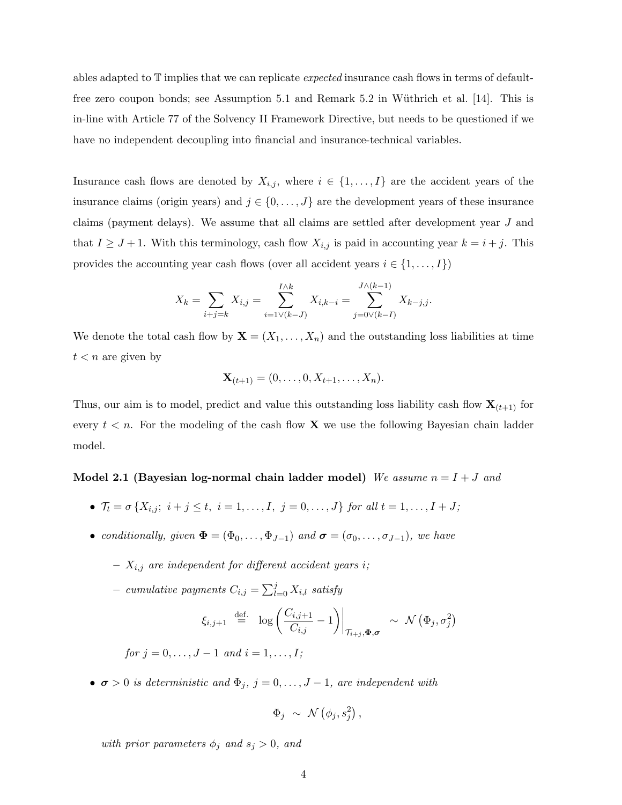ables adapted to  $\mathbb T$  implies that we can replicate *expected* insurance cash flows in terms of defaultfree zero coupon bonds; see Assumption 5.1 and Remark 5.2 in Wüthrich et al.  $[14]$ . This is in-line with Article 77 of the Solvency II Framework Directive, but needs to be questioned if we have no independent decoupling into financial and insurance-technical variables.

Insurance cash flows are denoted by  $X_{i,j}$ , where  $i \in \{1, ..., I\}$  are the accident years of the insurance claims (origin years) and  $j \in \{0, \ldots, J\}$  are the development years of these insurance claims (payment delays). We assume that all claims are settled after development year J and that  $I \geq J+1$ . With this terminology, cash flow  $X_{i,j}$  is paid in accounting year  $k = i + j$ . This provides the accounting year cash flows (over all accident years  $i \in \{1, \ldots, I\}$ )

$$
X_k = \sum_{i+j=k} X_{i,j} = \sum_{i=1 \vee (k-J)}^{I \wedge k} X_{i,k-i} = \sum_{j=0 \vee (k-I)}^{J \wedge (k-1)} X_{k-j,j}.
$$

We denote the total cash flow by  $\mathbf{X} = (X_1, \ldots, X_n)$  and the outstanding loss liabilities at time  $t < n$  are given by

$$
\mathbf{X}_{(t+1)} = (0, \dots, 0, X_{t+1}, \dots, X_n).
$$

Thus, our aim is to model, predict and value this outstanding loss liability cash flow  $\mathbf{X}_{(t+1)}$  for every  $t < n$ . For the modeling of the cash flow **X** we use the following Bayesian chain ladder model.

## Model 2.1 (Bayesian log-normal chain ladder model) We assume  $n = I + J$  and

- $\mathcal{T}_t = \sigma \{X_{i,j}; i+j \leq t, i = 1, ..., I, j = 0, ..., J\}$  for all  $t = 1, ..., I + J;$
- conditionally, given  $\Phi = (\Phi_0, \ldots, \Phi_{J-1})$  and  $\sigma = (\sigma_0, \ldots, \sigma_{J-1})$ , we have
	- $X_{i,j}$  are independent for different accident years i;
	- cumulative payments  $C_{i,j} = \sum_{l=0}^{j} X_{i,l}$  satisfy

$$
\xi_{i,j+1} \stackrel{\text{def.}}{=} \log \left( \frac{C_{i,j+1}}{C_{i,j}} - 1 \right) \Big|_{\mathcal{T}_{i+j}, \Phi, \sigma} \sim \mathcal{N} \left( \Phi_j, \sigma_j^2 \right)
$$

for  $i = 0, \ldots, J-1$  and  $i = 1, \ldots, I$ :

•  $\sigma > 0$  is deterministic and  $\Phi_j$ ,  $j = 0, \ldots, J-1$ , are independent with

$$
\Phi_j \ \sim \ \mathcal{N} \left( \phi_j, s_j^2 \right),
$$

with prior parameters  $\phi_j$  and  $s_j > 0$ , and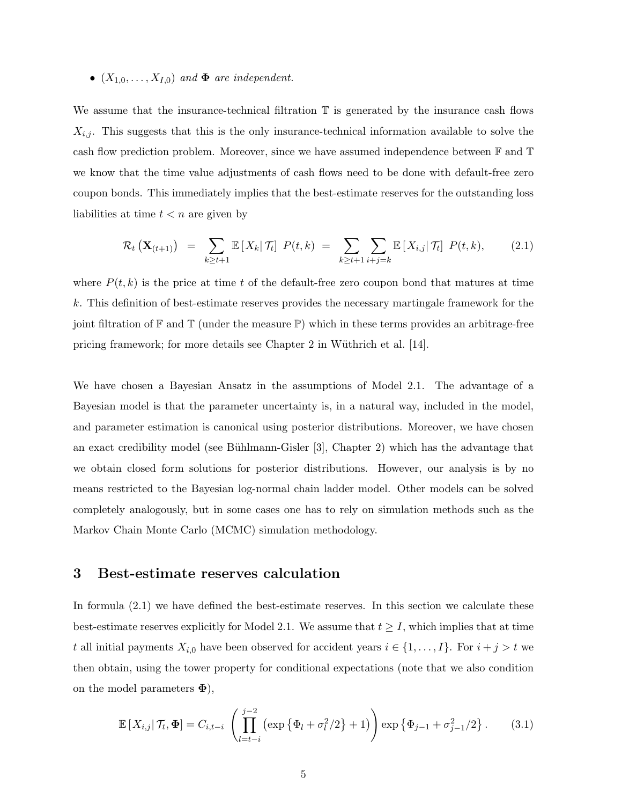#### •  $(X_{1,0},...,X_{I,0})$  and  $\Phi$  are independent.

We assume that the insurance-technical filtration  $\mathbb T$  is generated by the insurance cash flows  $X_{i,j}$ . This suggests that this is the only insurance-technical information available to solve the cash flow prediction problem. Moreover, since we have assumed independence between F and T we know that the time value adjustments of cash flows need to be done with default-free zero coupon bonds. This immediately implies that the best-estimate reserves for the outstanding loss liabilities at time  $t < n$  are given by

$$
\mathcal{R}_t\left(\mathbf{X}_{(t+1)}\right) = \sum_{k \geq t+1} \mathbb{E}\left[X_k|\mathcal{T}_t\right] P(t,k) = \sum_{k \geq t+1} \sum_{i+j=k} \mathbb{E}\left[X_{i,j}|\mathcal{T}_t\right] P(t,k), \tag{2.1}
$$

where  $P(t, k)$  is the price at time t of the default-free zero coupon bond that matures at time k. This definition of best-estimate reserves provides the necessary martingale framework for the joint filtration of  $\mathbb F$  and  $\mathbb T$  (under the measure  $\mathbb P$ ) which in these terms provides an arbitrage-free pricing framework; for more details see Chapter 2 in Wüthrich et al.  $[14]$ .

We have chosen a Bayesian Ansatz in the assumptions of Model 2.1. The advantage of a Bayesian model is that the parameter uncertainty is, in a natural way, included in the model, and parameter estimation is canonical using posterior distributions. Moreover, we have chosen an exact credibility model (see Bühlmann-Gisler  $[3]$ , Chapter 2) which has the advantage that we obtain closed form solutions for posterior distributions. However, our analysis is by no means restricted to the Bayesian log-normal chain ladder model. Other models can be solved completely analogously, but in some cases one has to rely on simulation methods such as the Markov Chain Monte Carlo (MCMC) simulation methodology.

#### 3 Best-estimate reserves calculation

In formula  $(2.1)$  we have defined the best-estimate reserves. In this section we calculate these best-estimate reserves explicitly for Model 2.1. We assume that  $t \geq I$ , which implies that at time t all initial payments  $X_{i,0}$  have been observed for accident years  $i \in \{1, \ldots, I\}$ . For  $i + j > t$  we then obtain, using the tower property for conditional expectations (note that we also condition on the model parameters  $\Phi$ ),

$$
\mathbb{E}\left[X_{i,j}|\mathcal{T}_t, \Phi\right] = C_{i,t-i} \left(\prod_{l=t-i}^{j-2} \left(\exp\left\{\Phi_l + \sigma_l^2/2\right\} + 1\right)\right) \exp\left\{\Phi_{j-1} + \sigma_{j-1}^2/2\right\}.
$$
 (3.1)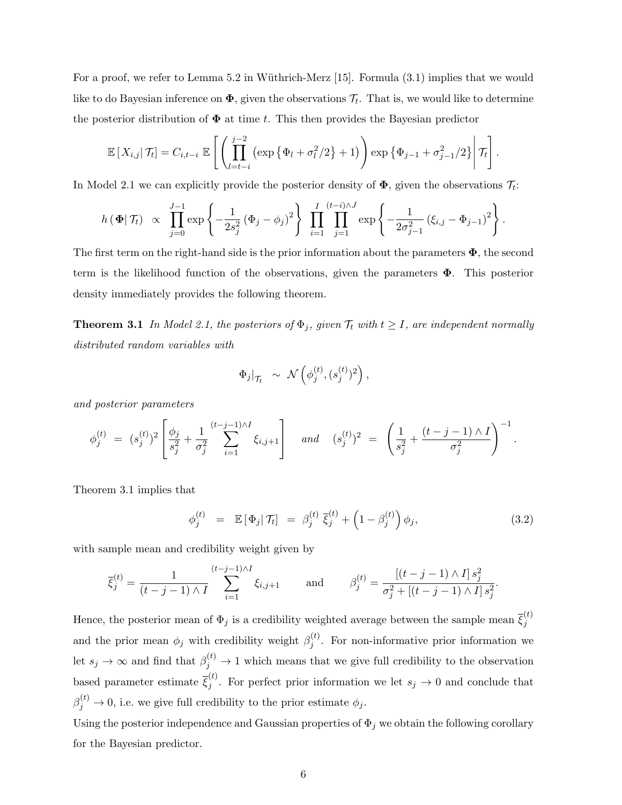For a proof, we refer to Lemma 5.2 in Wüthrich-Merz  $[15]$ . Formula  $(3.1)$  implies that we would like to do Bayesian inference on  $\pmb{\Phi}$ , given the observations  $\mathcal{T}_t$ . That is, we would like to determine the posterior distribution of  $\Phi$  at time t. This then provides the Bayesian predictor

$$
\mathbb{E}\left[X_{i,j}\right|\mathcal{T}_t\right] = C_{i,t-i} \mathbb{E}\left[\left(\prod_{l=t-i}^{j-2} \left(\exp\left\{\Phi_l + \sigma_l^2/2\right\} + 1\right)\right) \exp\left\{\Phi_{j-1} + \sigma_{j-1}^2/2\right\} \middle| \mathcal{T}_t\right].
$$

In Model 2.1 we can explicitly provide the posterior density of  $\Phi$ , given the observations  $\mathcal{T}_t$ :

$$
h(\Phi|\mathcal{T}_t) \propto \prod_{j=0}^{J-1} \exp \left\{-\frac{1}{2s_j^2}(\Phi_j - \phi_j)^2\right\} \prod_{i=1}^{I} \prod_{j=1}^{(t-i)\wedge J} \exp \left\{-\frac{1}{2\sigma_{j-1}^2}(\xi_{i,j} - \Phi_{j-1})^2\right\}.
$$

The first term on the right-hand side is the prior information about the parameters  $\Phi$ , the second term is the likelihood function of the observations, given the parameters  $\Phi$ . This posterior density immediately provides the following theorem.

**Theorem 3.1** In Model 2.1, the posteriors of  $\Phi_j$ , given  $\mathcal{T}_t$  with  $t \geq I$ , are independent normally distributed random variables with

$$
\Phi_j|_{\mathcal{T}_t} \;\sim\; \mathcal{N}\left(\phi_j^{(t)},(s_j^{(t)})^2\right),
$$

and posterior parameters

$$
\phi_j^{(t)} = (s_j^{(t)})^2 \left[ \frac{\phi_j}{s_j^2} + \frac{1}{\sigma_j^2} \sum_{i=1}^{(t-j-1)\wedge I} \xi_{i,j+1} \right] \quad \text{and} \quad (s_j^{(t)})^2 = \left( \frac{1}{s_j^2} + \frac{(t-j-1)\wedge I}{\sigma_j^2} \right)^{-1}.
$$

Theorem 3.1 implies that

$$
\phi_j^{(t)} = \mathbb{E}[\Phi_j | \mathcal{T}_t] = \beta_j^{(t)} \overline{\xi}_j^{(t)} + \left(1 - \beta_j^{(t)}\right) \phi_j, \qquad (3.2)
$$

with sample mean and credibility weight given by

$$
\overline{\xi}_j^{(t)} = \frac{1}{(t-j-1)\wedge I} \sum_{i=1}^{(t-j-1)\wedge I} \xi_{i,j+1} \quad \text{and} \quad \beta_j^{(t)} = \frac{[(t-j-1)\wedge I] s_j^2}{\sigma_j^2 + [(t-j-1)\wedge I] s_j^2}.
$$

Hence, the posterior mean of  $\Phi_j$  is a credibility weighted average between the sample mean  $\bar{\xi}_j^{(t)}$ j and the prior mean  $\phi_j$  with credibility weight  $\beta_i^{(t)}$  $j^{(l)}$ . For non-informative prior information we let  $s_j \to \infty$  and find that  $\beta_j^{(t)} \to 1$  which means that we give full credibility to the observation based parameter estimate  $\bar{\xi}_i^{(t)}$  $j^{(i)}$ . For perfect prior information we let  $s_j \to 0$  and conclude that  $\beta_j^{(t)} \to 0$ , i.e. we give full credibility to the prior estimate  $\phi_j$ .

Using the posterior independence and Gaussian properties of  $\Phi_j$  we obtain the following corollary for the Bayesian predictor.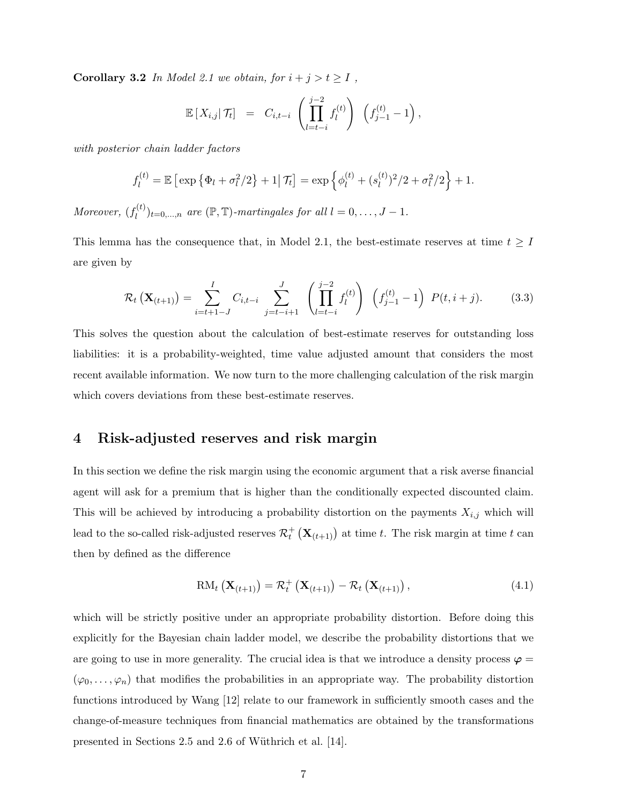Corollary 3.2 In Model 2.1 we obtain, for  $i + j > t \geq I$ ,

$$
\mathbb{E}\left[X_{i,j}|\mathcal{T}_t\right] = C_{i,t-i} \left(\prod_{l=t-i}^{j-2} f_l^{(t)}\right) \left(f_{j-1}^{(t)}-1\right),
$$

with posterior chain ladder factors

$$
f_l^{(t)} = \mathbb{E} \left[ \exp \left\{ \Phi_l + \sigma_l^2 / 2 \right\} + 1 \middle| \mathcal{T}_t \right] = \exp \left\{ \phi_l^{(t)} + (s_l^{(t)})^2 / 2 + \sigma_l^2 / 2 \right\} + 1.
$$

Moreover,  $(f_l^{(t)})$  $\ell_l^{(t)}$ <sub>l</sub> $=0,\ldots,n$  are  $(\mathbb{P}, \mathbb{T})$ -martingales for all  $l=0,\ldots,J-1$ .

This lemma has the consequence that, in Model 2.1, the best-estimate reserves at time  $t \geq I$ are given by

$$
\mathcal{R}_t\left(\mathbf{X}_{(t+1)}\right) = \sum_{i=t+1-J}^{I} C_{i,t-i} \sum_{j=t-i+1}^{J} \left(\prod_{l=t-i}^{j-2} f_l^{(t)}\right) \left(f_{j-1}^{(t)} - 1\right) P(t, i+j). \tag{3.3}
$$

This solves the question about the calculation of best-estimate reserves for outstanding loss liabilities: it is a probability-weighted, time value adjusted amount that considers the most recent available information. We now turn to the more challenging calculation of the risk margin which covers deviations from these best-estimate reserves.

## 4 Risk-adjusted reserves and risk margin

In this section we define the risk margin using the economic argument that a risk averse financial agent will ask for a premium that is higher than the conditionally expected discounted claim. This will be achieved by introducing a probability distortion on the payments  $X_{i,j}$  which will lead to the so-called risk-adjusted reserves  $\mathcal{R}_t^+ (\mathbf{X}_{(t+1)})$  at time t. The risk margin at time t can then by defined as the difference

$$
\text{RM}_{t}\left(\mathbf{X}_{(t+1)}\right) = \mathcal{R}_{t}^{+}\left(\mathbf{X}_{(t+1)}\right) - \mathcal{R}_{t}\left(\mathbf{X}_{(t+1)}\right),\tag{4.1}
$$

which will be strictly positive under an appropriate probability distortion. Before doing this explicitly for the Bayesian chain ladder model, we describe the probability distortions that we are going to use in more generality. The crucial idea is that we introduce a density process  $\varphi =$  $(\varphi_0, \ldots, \varphi_n)$  that modifies the probabilities in an appropriate way. The probability distortion functions introduced by Wang [12] relate to our framework in sufficiently smooth cases and the change-of-measure techniques from financial mathematics are obtained by the transformations presented in Sections 2.5 and 2.6 of Wüthrich et al. [14].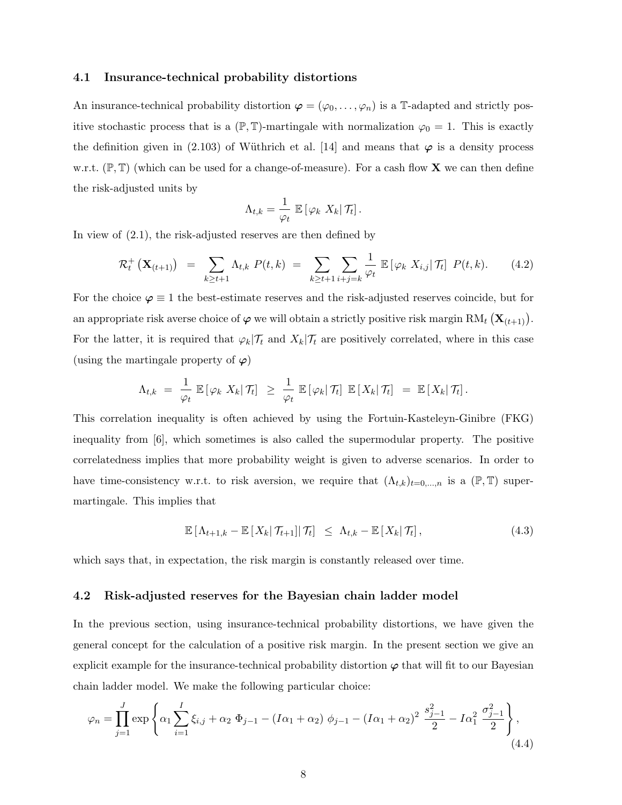#### 4.1 Insurance-technical probability distortions

An insurance-technical probability distortion  $\varphi = (\varphi_0, \ldots, \varphi_n)$  is a T-adapted and strictly positive stochastic process that is a  $(\mathbb{P}, \mathbb{T})$ -martingale with normalization  $\varphi_0 = 1$ . This is exactly the definition given in (2.103) of Wüthrich et al. [14] and means that  $\varphi$  is a density process w.r.t.  $(\mathbb{P}, \mathbb{T})$  (which can be used for a change-of-measure). For a cash flow **X** we can then define the risk-adjusted units by

$$
\Lambda_{t,k} = \frac{1}{\varphi_t} \mathbb{E} \left[ \varphi_k \ X_k \middle| \mathcal{T}_t \right].
$$

In view of (2.1), the risk-adjusted reserves are then defined by

$$
\mathcal{R}_t^+\left(\mathbf{X}_{(t+1)}\right) \ = \ \sum_{k \geq t+1} \Lambda_{t,k} \ P(t,k) \ = \ \sum_{k \geq t+1} \sum_{i+j=k} \frac{1}{\varphi_t} \ \mathbb{E}\left[\varphi_k \ X_{i,j} | \ \mathcal{T}_t\right] \ P(t,k). \tag{4.2}
$$

For the choice  $\varphi \equiv 1$  the best-estimate reserves and the risk-adjusted reserves coincide, but for an appropriate risk averse choice of  $\varphi$  we will obtain a strictly positive risk margin  $\text{RM}_{t}\left(\mathbf{X}_{(t+1)}\right)$ . For the latter, it is required that  $\varphi_k|\mathcal{T}_t$  and  $X_k|\mathcal{T}_t$  are positively correlated, where in this case (using the martingale property of  $\varphi$ )

$$
\Lambda_{t,k} = \frac{1}{\varphi_t} \mathbb{E} [\varphi_k X_k | \mathcal{T}_t] \geq \frac{1}{\varphi_t} \mathbb{E} [\varphi_k | \mathcal{T}_t] \mathbb{E} [X_k | \mathcal{T}_t] = \mathbb{E} [X_k | \mathcal{T}_t].
$$

This correlation inequality is often achieved by using the Fortuin-Kasteleyn-Ginibre (FKG) inequality from [6], which sometimes is also called the supermodular property. The positive correlatedness implies that more probability weight is given to adverse scenarios. In order to have time-consistency w.r.t. to risk aversion, we require that  $(\Lambda_{t,k})_{t=0,\dots,n}$  is a  $(\mathbb{P},\mathbb{T})$  supermartingale. This implies that

$$
\mathbb{E}\left[\Lambda_{t+1,k}-\mathbb{E}\left[X_k|\mathcal{T}_{t+1}\right]|\mathcal{T}_t\right] \leq \Lambda_{t,k}-\mathbb{E}\left[X_k|\mathcal{T}_t\right],\tag{4.3}
$$

which says that, in expectation, the risk margin is constantly released over time.

#### 4.2 Risk-adjusted reserves for the Bayesian chain ladder model

In the previous section, using insurance-technical probability distortions, we have given the general concept for the calculation of a positive risk margin. In the present section we give an explicit example for the insurance-technical probability distortion  $\varphi$  that will fit to our Bayesian chain ladder model. We make the following particular choice:

$$
\varphi_n = \prod_{j=1}^J \exp\left\{\alpha_1 \sum_{i=1}^I \xi_{i,j} + \alpha_2 \Phi_{j-1} - (I\alpha_1 + \alpha_2) \phi_{j-1} - (I\alpha_1 + \alpha_2)^2 \frac{s_{j-1}^2}{2} - I\alpha_1^2 \frac{\sigma_{j-1}^2}{2}\right\},\tag{4.4}
$$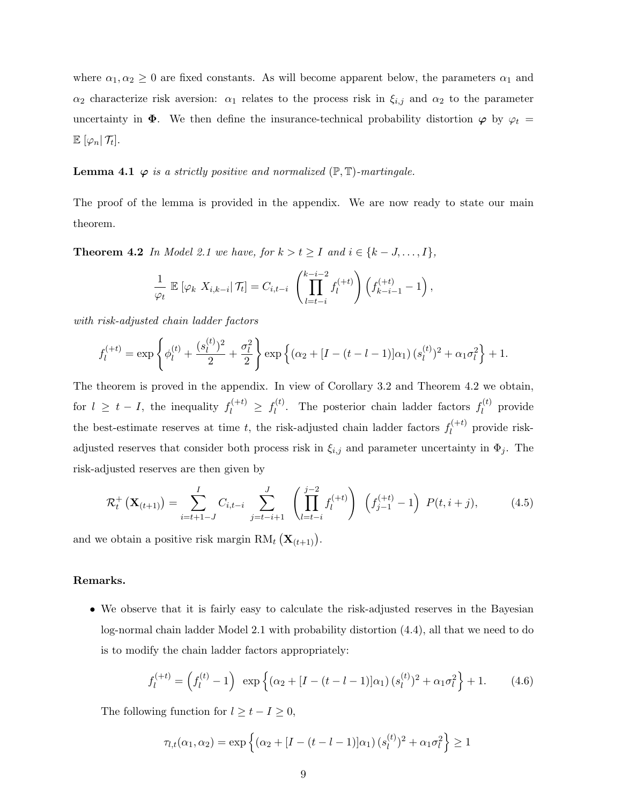where  $\alpha_1, \alpha_2 \geq 0$  are fixed constants. As will become apparent below, the parameters  $\alpha_1$  and  $\alpha_2$  characterize risk aversion:  $\alpha_1$  relates to the process risk in  $\xi_{i,j}$  and  $\alpha_2$  to the parameter uncertainty in  $\Phi$ . We then define the insurance-technical probability distortion  $\varphi$  by  $\varphi_t =$  $\mathbb{E} \left[ \varphi_n \right| \mathcal{T}_t \right].$ 

#### **Lemma 4.1**  $\varphi$  is a strictly positive and normalized  $(\mathbb{P}, \mathbb{T})$ -martingale.

The proof of the lemma is provided in the appendix. We are now ready to state our main theorem.

**Theorem 4.2** In Model 2.1 we have, for  $k > t \geq I$  and  $i \in \{k-J,\ldots,I\}$ ,

$$
\frac{1}{\varphi_t} \mathbb{E} \left[ \varphi_k \ X_{i,k-i} | \mathcal{T}_t \right] = C_{i,t-i} \left( \prod_{l=t-i}^{k-i-2} f_l^{(+t)} \right) \left( f_{k-i-1}^{(+t)} - 1 \right),
$$

with risk-adjusted chain ladder factors

$$
f_l^{(+t)} = \exp\left\{\phi_l^{(t)} + \frac{(s_l^{(t)})^2}{2} + \frac{\sigma_l^2}{2}\right\} \exp\left\{(\alpha_2 + [I - (t - l - 1)]\alpha_1)(s_l^{(t)})^2 + \alpha_1\sigma_l^2\right\} + 1.
$$

The theorem is proved in the appendix. In view of Corollary 3.2 and Theorem 4.2 we obtain, for  $l \geq t - I$ , the inequality  $f_l^{(+t)} \geq f_l^{(t)}$  $\ell_l^{(t)}$ . The posterior chain ladder factors  $f_l^{(t)}$  $\mathbf{u}_l^{(t)}$  provide the best-estimate reserves at time t, the risk-adjusted chain ladder factors  $f_l^{(+t)}$  $\ell_l^{(+\iota)}$  provide riskadjusted reserves that consider both process risk in  $\xi_{i,j}$  and parameter uncertainty in  $\Phi_j$ . The risk-adjusted reserves are then given by

$$
\mathcal{R}_t^+\left(\mathbf{X}_{(t+1)}\right) = \sum_{i=t+1-J}^I C_{i,t-i} \sum_{j=t-i+1}^J \left(\prod_{l=t-i}^{j-2} f_l^{(+t)}\right) \left(f_{j-1}^{(+t)} - 1\right) P(t, i+j), \tag{4.5}
$$

and we obtain a positive risk margin  $\text{RM}_t\left(\mathbf{X}_{(t+1)}\right)$ .

#### Remarks.

• We observe that it is fairly easy to calculate the risk-adjusted reserves in the Bayesian log-normal chain ladder Model 2.1 with probability distortion (4.4), all that we need to do is to modify the chain ladder factors appropriately:

$$
f_l^{(+t)} = \left(f_l^{(t)} - 1\right) \exp\left\{ (\alpha_2 + [I - (t - l - 1)]\alpha_1) \left(s_l^{(t)}\right)^2 + \alpha_1 \sigma_l^2 \right\} + 1. \tag{4.6}
$$

The following function for  $l \geq t - I \geq 0$ ,

$$
\tau_{l,t}(\alpha_1,\alpha_2) = \exp\left\{ (\alpha_2 + [I - (t - l - 1)]\alpha_1) (s_l^{(t)})^2 + \alpha_1 \sigma_l^2 \right\} \ge 1
$$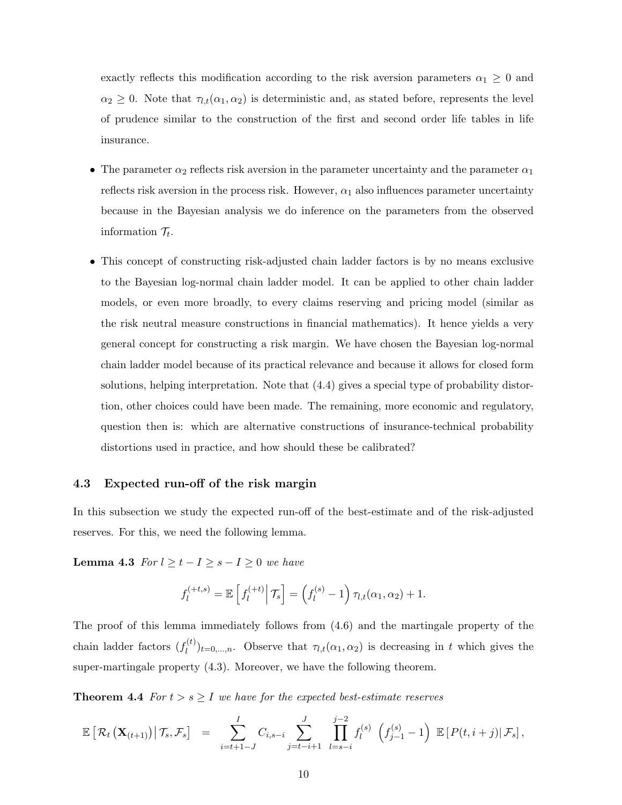exactly reflects this modification according to the risk aversion parameters  $\alpha_1 \geq 0$  and  $\alpha_2 \geq 0$ . Note that  $\tau_{l,t}(\alpha_1, \alpha_2)$  is deterministic and, as stated before, represents the level of prudence similar to the construction of the first and second order life tables in life insurance.

- The parameter  $\alpha_2$  reflects risk aversion in the parameter uncertainty and the parameter  $\alpha_1$ reflects risk aversion in the process risk. However,  $\alpha_1$  also influences parameter uncertainty because in the Bayesian analysis we do inference on the parameters from the observed information  $\mathcal{T}_t$ .
- This concept of constructing risk-adjusted chain ladder factors is by no means exclusive to the Bayesian log-normal chain ladder model. It can be applied to other chain ladder models, or even more broadly, to every claims reserving and pricing model (similar as the risk neutral measure constructions in financial mathematics). It hence yields a very general concept for constructing a risk margin. We have chosen the Bayesian log-normal chain ladder model because of its practical relevance and because it allows for closed form solutions, helping interpretation. Note that (4.4) gives a special type of probability distortion, other choices could have been made. The remaining, more economic and regulatory, question then is: which are alternative constructions of insurance-technical probability distortions used in practice, and how should these be calibrated?

#### 4.3 Expected run-off of the risk margin

In this subsection we study the expected run-off of the best-estimate and of the risk-adjusted reserves. For this, we need the following lemma.

Lemma 4.3 For  $l \geq t - I \geq s - I \geq 0$  we have

$$
f_l^{(+t,s)} = \mathbb{E}\left[f_l^{(+t)}\middle|\mathcal{T}_s\right] = \left(f_l^{(s)} - 1\right)\tau_{l,t}(\alpha_1, \alpha_2) + 1.
$$

The proof of this lemma immediately follows from (4.6) and the martingale property of the chain ladder factors  $(f_l^{(t)})$  $\mathcal{L}_{l}^{(t)}$ <sub> $(t)$ </sub>, Observe that  $\tau_{l,t}(\alpha_1,\alpha_2)$  is decreasing in t which gives the super-martingale property (4.3). Moreover, we have the following theorem.

**Theorem 4.4** For  $t > s \geq I$  we have for the expected best-estimate reserves

$$
\mathbb{E}\left[\left.\mathcal{R}_t\left(\mathbf{X}_{(t+1)}\right)\right| \mathcal{T}_s, \mathcal{F}_s\right] = \sum_{i=t+1-J}^{I} C_{i,s-i} \sum_{j=t-i+1}^{J} \prod_{l=s-i}^{j-2} f_l^{(s)} \left(f_{j-1}^{(s)}-1\right) \mathbb{E}\left[P(t,i+j)|\mathcal{F}_s\right],
$$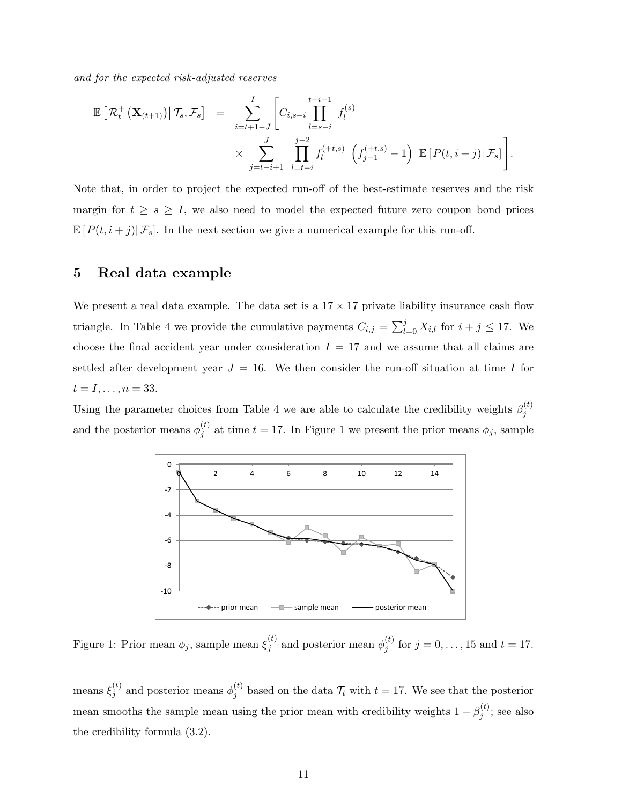and for the expected risk-adjusted reserves

$$
\mathbb{E}\left[\mathcal{R}_t^+\left(\mathbf{X}_{(t+1)}\right)\middle|\mathcal{T}_s,\mathcal{F}_s\right] = \sum_{i=t+1-J}^I \left[C_{i,s-i}\prod_{l=s-i}^{t-i-1}f_l^{(s)}\right] \times \sum_{j=t-i+1}^J \prod_{l=t-i}^{j-2}f_l^{(+t,s)}\left(f_{j-1}^{(+t,s)}-1\right)\mathbb{E}\left[P(t,i+j)\middle|\mathcal{F}_s\right].
$$

Note that, in order to project the expected run-off of the best-estimate reserves and the risk margin for  $t \geq s \geq I$ , we also need to model the expected future zero coupon bond prices  $\mathbb{E}[P(t,i+j)|\mathcal{F}_s]$ . In the next section we give a numerical example for this run-off.

## 5 Real data example

We present a real data example. The data set is a  $17 \times 17$  private liability insurance cash flow triangle. In Table 4 we provide the cumulative payments  $C_{i,j} = \sum_{l=0}^{j} X_{i,l}$  for  $i + j \leq 17$ . We choose the final accident year under consideration  $I = 17$  and we assume that all claims are settled after development year  $J = 16$ . We then consider the run-off situation at time I for  $t = I, \ldots, n = 33.$ 

Using the parameter choices from Table 4 we are able to calculate the credibility weights  $\beta_i^{(t)}$ j and the posterior means  $\phi_i^{(t)}$  $j_j^{(t)}$  at time  $t = 17$ . In Figure 1 we present the prior means  $\phi_j$ , sample



Figure 1: Prior mean  $\phi_j$ , sample mean  $\bar{\xi}_j^{(t)}$  and posterior mean  $\phi_j^{(t)}$  $j_j^{(t)}$  for  $j = 0, ..., 15$  and  $t = 17$ .

means  $\bar{\xi}_j^{(t)}$  and posterior means  $\phi_j^{(t)}$  $j_j^{(t)}$  based on the data  $\mathcal{T}_t$  with  $t = 17$ . We see that the posterior mean smooths the sample mean using the prior mean with credibility weights  $1 - \beta_i^{(t)}$  $j^{(\iota)}$ ; see also the credibility formula (3.2).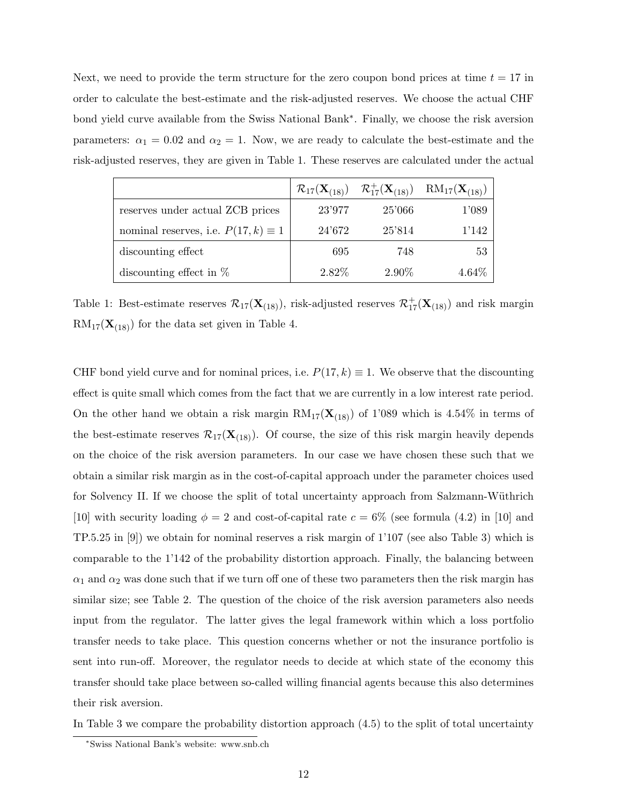Next, we need to provide the term structure for the zero coupon bond prices at time  $t = 17$  in order to calculate the best-estimate and the risk-adjusted reserves. We choose the actual CHF bond yield curve available from the Swiss National Bank<sup>∗</sup> . Finally, we choose the risk aversion parameters:  $\alpha_1 = 0.02$  and  $\alpha_2 = 1$ . Now, we are ready to calculate the best-estimate and the risk-adjusted reserves, they are given in Table 1. These reserves are calculated under the actual

|                                            |          |        | $\mathcal{R}_{17}(\mathbf{X}_{(18)}) \quad \mathcal{R}_{17}^+(\mathbf{X}_{(18)}) \quad \text{RM}_{17}(\mathbf{X}_{(18)})$ |
|--------------------------------------------|----------|--------|---------------------------------------------------------------------------------------------------------------------------|
| reserves under actual ZCB prices           | 23'977   | 25'066 | 1'089                                                                                                                     |
| nominal reserves, i.e. $P(17, k) \equiv 1$ | 24'672   | 25'814 | 1'142                                                                                                                     |
| discounting effect                         | 695      | 748    | 53                                                                                                                        |
| discounting effect in $%$                  | $2.82\%$ | 2.90\% | 4.64%                                                                                                                     |

Table 1: Best-estimate reserves  $\mathcal{R}_{17}(\mathbf{X}_{(18)})$ , risk-adjusted reserves  $\mathcal{R}_{17}^+(\mathbf{X}_{(18)})$  and risk margin  $RM_{17}(\mathbf{X}_{(18)})$  for the data set given in Table 4.

CHF bond yield curve and for nominal prices, i.e.  $P(17, k) \equiv 1$ . We observe that the discounting effect is quite small which comes from the fact that we are currently in a low interest rate period. On the other hand we obtain a risk margin  $RM_{17}(\mathbf{X}_{(18)})$  of 1'089 which is 4.54% in terms of the best-estimate reserves  $\mathcal{R}_{17}(\mathbf{X}_{18})$ . Of course, the size of this risk margin heavily depends on the choice of the risk aversion parameters. In our case we have chosen these such that we obtain a similar risk margin as in the cost-of-capital approach under the parameter choices used for Solvency II. If we choose the split of total uncertainty approach from Salzmann-Wüthrich [10] with security loading  $\phi = 2$  and cost-of-capital rate  $c = 6\%$  (see formula (4.2) in [10] and TP.5.25 in [9]) we obtain for nominal reserves a risk margin of 1'107 (see also Table 3) which is comparable to the 1'142 of the probability distortion approach. Finally, the balancing between  $\alpha_1$  and  $\alpha_2$  was done such that if we turn off one of these two parameters then the risk margin has similar size; see Table 2. The question of the choice of the risk aversion parameters also needs input from the regulator. The latter gives the legal framework within which a loss portfolio transfer needs to take place. This question concerns whether or not the insurance portfolio is sent into run-off. Moreover, the regulator needs to decide at which state of the economy this transfer should take place between so-called willing financial agents because this also determines their risk aversion.

In Table 3 we compare the probability distortion approach (4.5) to the split of total uncertainty

<sup>∗</sup>Swiss National Bank's website: www.snb.ch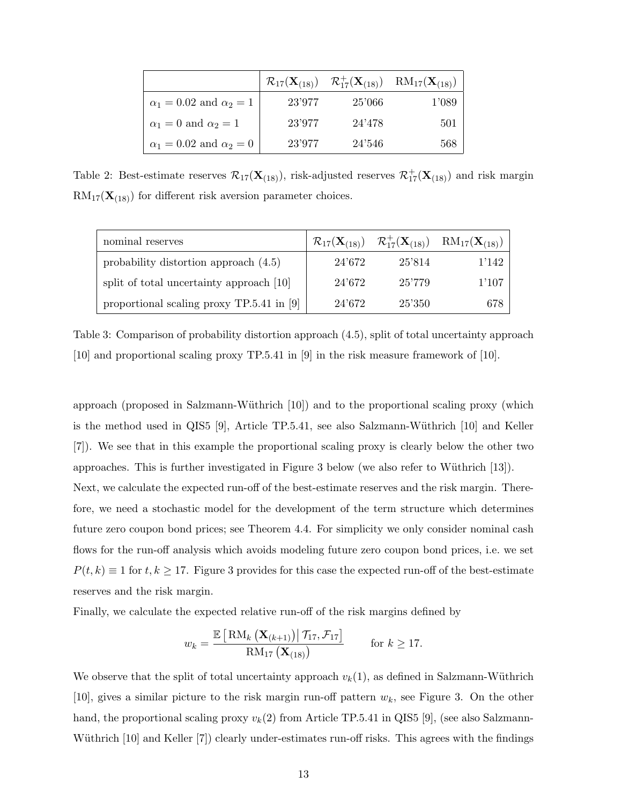|                                      |        |        | $\mathcal{R}_{17}(\mathbf{X}_{(18)}) \quad \mathcal{R}_{17}^+(\mathbf{X}_{(18)}) \quad \text{RM}_{17}(\mathbf{X}_{(18)})$ |
|--------------------------------------|--------|--------|---------------------------------------------------------------------------------------------------------------------------|
| $\alpha_1 = 0.02$ and $\alpha_2 = 1$ | 23'977 | 25'066 | 1'089                                                                                                                     |
| $\alpha_1 = 0$ and $\alpha_2 = 1$    | 23'977 | 24'478 | 501                                                                                                                       |
| $\alpha_1 = 0.02$ and $\alpha_2 = 0$ | 23'977 | 24'546 | 568                                                                                                                       |

Table 2: Best-estimate reserves  $\mathcal{R}_{17}(\mathbf{X}_{(18)})$ , risk-adjusted reserves  $\mathcal{R}_{17}^+(\mathbf{X}_{(18)})$  and risk margin  $RM_{17}(\mathbf{X}_{(18)})$  for different risk aversion parameter choices.

| nominal reserves                            |        |        | $\mathcal{R}_{17}(\mathbf{X}_{(18)}) \quad \mathcal{R}^+_{17}(\mathbf{X}_{(18)}) \quad \text{RM}_{17}(\mathbf{X}_{(18)})$ |
|---------------------------------------------|--------|--------|---------------------------------------------------------------------------------------------------------------------------|
| probability distortion approach $(4.5)$     | 24'672 | 25'814 | 1'142                                                                                                                     |
| split of total uncertainty approach [10]    | 24'672 | 25'779 | 1'107                                                                                                                     |
| proportional scaling proxy $TP.5.41$ in [9] | 24'672 | 25'350 | 678                                                                                                                       |

Table 3: Comparison of probability distortion approach (4.5), split of total uncertainty approach [10] and proportional scaling proxy TP.5.41 in [9] in the risk measure framework of [10].

approach (proposed in Salzmann-Wüthrich  $[10]$ ) and to the proportional scaling proxy (which is the method used in QIS5 [9], Article TP.5.41, see also Salzmann-Wüthrich  $[10]$  and Keller [7]). We see that in this example the proportional scaling proxy is clearly below the other two approaches. This is further investigated in Figure 3 below (we also refer to Wüthrich  $[13]$ ). Next, we calculate the expected run-off of the best-estimate reserves and the risk margin. Therefore, we need a stochastic model for the development of the term structure which determines future zero coupon bond prices; see Theorem 4.4. For simplicity we only consider nominal cash flows for the run-off analysis which avoids modeling future zero coupon bond prices, i.e. we set  $P(t, k) \equiv 1$  for  $t, k \geq 17$ . Figure 3 provides for this case the expected run-off of the best-estimate reserves and the risk margin.

Finally, we calculate the expected relative run-off of the risk margins defined by

$$
w_k = \frac{\mathbb{E}\left[\text{RM}_k\left(\mathbf{X}_{(k+1)}\right) | \mathcal{T}_{17}, \mathcal{F}_{17}\right]}{\text{RM}_{17}\left(\mathbf{X}_{(18)}\right)} \quad \text{for } k \geq 17.
$$

We observe that the split of total uncertainty approach  $v_k(1)$ , as defined in Salzmann-Wüthrich [10], gives a similar picture to the risk margin run-off pattern  $w_k$ , see Figure 3. On the other hand, the proportional scaling proxy  $v_k(2)$  from Article TP.5.41 in QIS5 [9], (see also Salzmann-Wüthrich [10] and Keller [7]) clearly under-estimates run-off risks. This agrees with the findings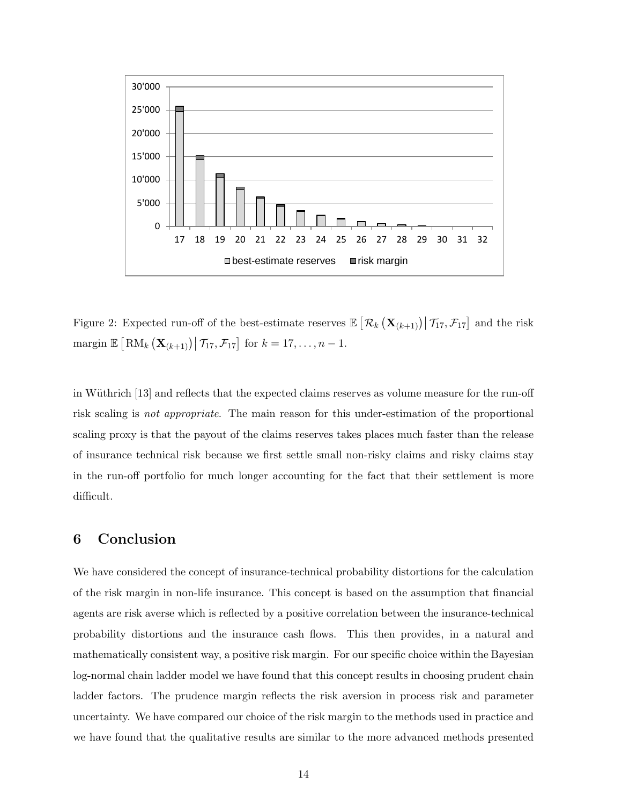

Figure 2: Expected run-off of the best-estimate reserves  $\mathbb{E}\left[\left.\mathcal{R}_{k}\left(\mathbf{X}_{(k+1)}\right)\right|\mathcal{T}_{17},\mathcal{F}_{17}\right]$  and the risk margin  $\mathbb{E}\left[\text{RM}_k\left(\mathbf{X}_{(k+1)}\right) | \mathcal{T}_{17}, \mathcal{F}_{17}\right]$  for  $k = 17, \ldots, n-1$ .

in Wüthrich [13] and reflects that the expected claims reserves as volume measure for the run-off risk scaling is not appropriate. The main reason for this under-estimation of the proportional scaling proxy is that the payout of the claims reserves takes places much faster than the release of insurance technical risk because we first settle small non-risky claims and risky claims stay in the run-off portfolio for much longer accounting for the fact that their settlement is more difficult.

## 6 Conclusion

We have considered the concept of insurance-technical probability distortions for the calculation of the risk margin in non-life insurance. This concept is based on the assumption that financial agents are risk averse which is reflected by a positive correlation between the insurance-technical probability distortions and the insurance cash flows. This then provides, in a natural and mathematically consistent way, a positive risk margin. For our specific choice within the Bayesian log-normal chain ladder model we have found that this concept results in choosing prudent chain ladder factors. The prudence margin reflects the risk aversion in process risk and parameter uncertainty. We have compared our choice of the risk margin to the methods used in practice and we have found that the qualitative results are similar to the more advanced methods presented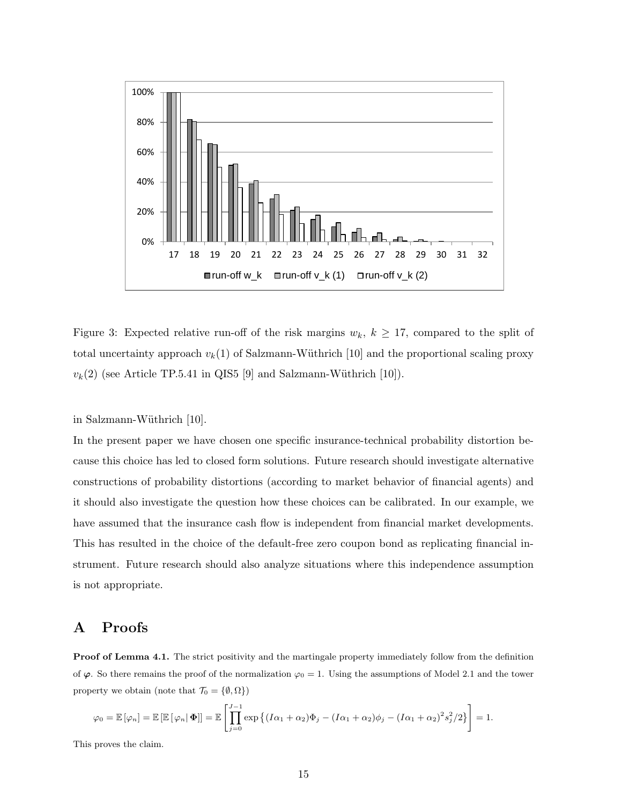

Figure 3: Expected relative run-off of the risk margins  $w_k$ ,  $k \geq 17$ , compared to the split of total uncertainty approach  $v_k(1)$  of Salzmann-Wüthrich [10] and the proportional scaling proxy  $v_k(2)$  (see Article TP.5.41 in QIS5 [9] and Salzmann-Wüthrich [10]).

in Salzmann-Wüthrich [10].

In the present paper we have chosen one specific insurance-technical probability distortion because this choice has led to closed form solutions. Future research should investigate alternative constructions of probability distortions (according to market behavior of financial agents) and it should also investigate the question how these choices can be calibrated. In our example, we have assumed that the insurance cash flow is independent from financial market developments. This has resulted in the choice of the default-free zero coupon bond as replicating financial instrument. Future research should also analyze situations where this independence assumption is not appropriate.

## A Proofs

Proof of Lemma 4.1. The strict positivity and the martingale property immediately follow from the definition of  $\varphi$ . So there remains the proof of the normalization  $\varphi_0 = 1$ . Using the assumptions of Model 2.1 and the tower property we obtain (note that  $\mathcal{T}_0 = \{\emptyset, \Omega\})$ 

$$
\varphi_0 = \mathbb{E} [\varphi_n] = \mathbb{E} [\mathbb{E} [\varphi_n | \mathbf{\Phi}]] = \mathbb{E} \left[ \prod_{j=0}^{J-1} \exp \left\{ (I\alpha_1 + \alpha_2) \Phi_j - (I\alpha_1 + \alpha_2) \phi_j - (I\alpha_1 + \alpha_2)^2 s_j^2 / 2 \right\} \right] = 1.
$$

This proves the claim.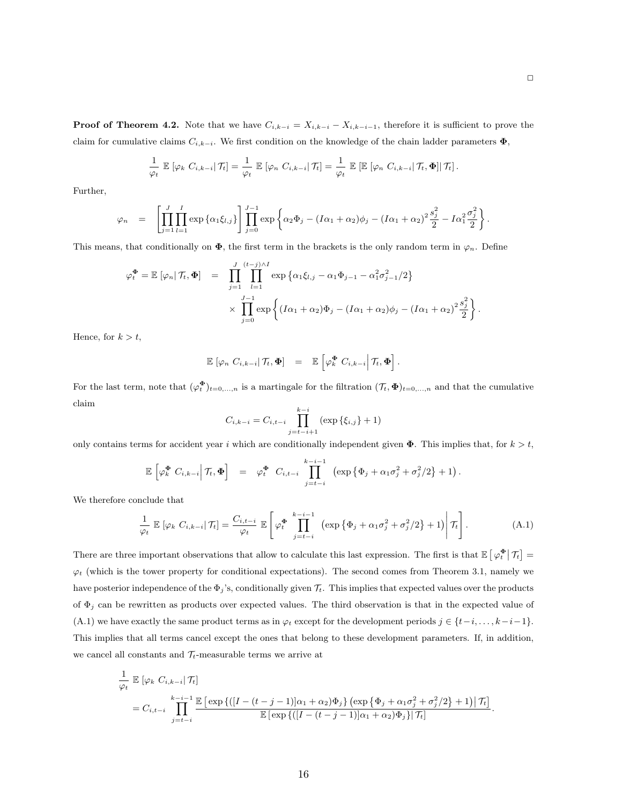**Proof of Theorem 4.2.** Note that we have  $C_{i,k-i} = X_{i,k-i} - X_{i,k-i-1}$ , therefore it is sufficient to prove the claim for cumulative claims  $C_{i,k-i}$ . We first condition on the knowledge of the chain ladder parameters  $\Phi$ ,

$$
\frac{1}{\varphi_t} \mathbb{E} \left[ \varphi_k \ C_{i,k-i} \big| \mathcal{T}_t \right] = \frac{1}{\varphi_t} \mathbb{E} \left[ \varphi_n \ C_{i,k-i} \big| \mathcal{T}_t \right] = \frac{1}{\varphi_t} \mathbb{E} \left[ \mathbb{E} \left[ \varphi_n \ C_{i,k-i} \big| \mathcal{T}_t, \Phi \right] \right] \mathcal{T}_t \right].
$$

Further,

$$
\varphi_n = \left[ \prod_{j=1}^J \prod_{l=1}^I \exp \left\{ \alpha_1 \xi_{l,j} \right\} \right] \prod_{j=0}^{J-1} \exp \left\{ \alpha_2 \Phi_j - (I\alpha_1 + \alpha_2) \phi_j - (I\alpha_1 + \alpha_2)^2 \frac{s_j^2}{2} - I\alpha_1^2 \frac{\sigma_j^2}{2} \right\}.
$$

This means, that conditionally on  $\Phi$ , the first term in the brackets is the only random term in  $\varphi_n$ . Define

$$
\varphi_t^{\Phi} = \mathbb{E} \left[ \varphi_n | \mathcal{T}_t, \Phi \right] = \prod_{j=1}^J \prod_{l=1}^{(t-j)\wedge I} \exp \left\{ \alpha_1 \xi_{l,j} - \alpha_1 \Phi_{j-1} - \alpha_1^2 \sigma_{j-1}^2 / 2 \right\}
$$

$$
\times \prod_{j=0}^{J-1} \exp \left\{ (I\alpha_1 + \alpha_2) \Phi_j - (I\alpha_1 + \alpha_2) \phi_j - (I\alpha_1 + \alpha_2)^2 \frac{s_j^2}{2} \right\}.
$$

Hence, for  $k > t$ ,

$$
\mathbb{E}\left[\varphi_n \; C_{i,k-i} \,|\, \mathcal{T}_t, \boldsymbol{\Phi}\right] \;\; = \;\; \mathbb{E}\left[\varphi_k^{\boldsymbol{\Phi}} \; C_{i,k-i} \,|\, \mathcal{T}_t, \boldsymbol{\Phi}\right].
$$

For the last term, note that  $(\varphi_t^{\Phi})_{t=0,\ldots,n}$  is a martingale for the filtration  $(\mathcal{T}_t, \Phi)_{t=0,\ldots,n}$  and that the cumulative claim

$$
C_{i,k-i} = C_{i,t-i} \prod_{j=t-i+1}^{k-i} (\exp{\{\xi_{i,j}\}} + 1)
$$

only contains terms for accident year i which are conditionally independent given  $\Phi$ . This implies that, for  $k > t$ ,

$$
\mathbb{E}\left[\varphi_k^{\Phi} C_{i,k-i}\Big|\,\mathcal{T}_t,\Phi\right] = \varphi_t^{\Phi} C_{i,t-i} \prod_{j=t-i}^{k-i-1} \left(\exp\left\{\Phi_j + \alpha_1\sigma_j^2 + \sigma_j^2/2\right\} + 1\right).
$$

We therefore conclude that

$$
\frac{1}{\varphi_t} \mathbb{E} \left[ \varphi_k \ C_{i,k-i} \middle| \mathcal{T}_t \right] = \frac{C_{i,t-i}}{\varphi_t} \mathbb{E} \left[ \varphi_t^{\Phi} \prod_{j=t-i}^{k-i-1} \left( \exp \left\{ \Phi_j + \alpha_1 \sigma_j^2 + \sigma_j^2 / 2 \right\} + 1 \right) \middle| \mathcal{T}_t \right]. \tag{A.1}
$$

There are three important observations that allow to calculate this last expression. The first is that  $\mathbb{E} \left[\varphi_t^{\Phi}\right| \mathcal{T}_t \right] =$  $\varphi_t$  (which is the tower property for conditional expectations). The second comes from Theorem 3.1, namely we have posterior independence of the  $\Phi_j$ 's, conditionally given  $\mathcal{T}_t$ . This implies that expected values over the products of  $\Phi_j$  can be rewritten as products over expected values. The third observation is that in the expected value of (A.1) we have exactly the same product terms as in  $\varphi_t$  except for the development periods  $j \in \{t-i, \ldots, k-i-1\}$ . This implies that all terms cancel except the ones that belong to these development parameters. If, in addition, we cancel all constants and  $\mathcal{T}_t$ -measurable terms we arrive at

$$
\frac{1}{\varphi_t} \mathbb{E}\left[\varphi_k C_{i,k-i} | \mathcal{T}_t\right]
$$
\n
$$
= C_{i,t-i} \prod_{j=t-i}^{k-i-1} \frac{\mathbb{E}\left[\exp\left\{([I - (t-j-1)]\alpha_1 + \alpha_2)\Phi_j\right\} \left(\exp\left\{\Phi_j + \alpha_1 \sigma_j^2 + \sigma_j^2/2\right\} + 1\right) | \mathcal{T}_t\right]}{\mathbb{E}\left[\exp\left\{\left([I - (t-j-1)]\alpha_1 + \alpha_2\right)\Phi_j\right\} | \mathcal{T}_t\right]}.
$$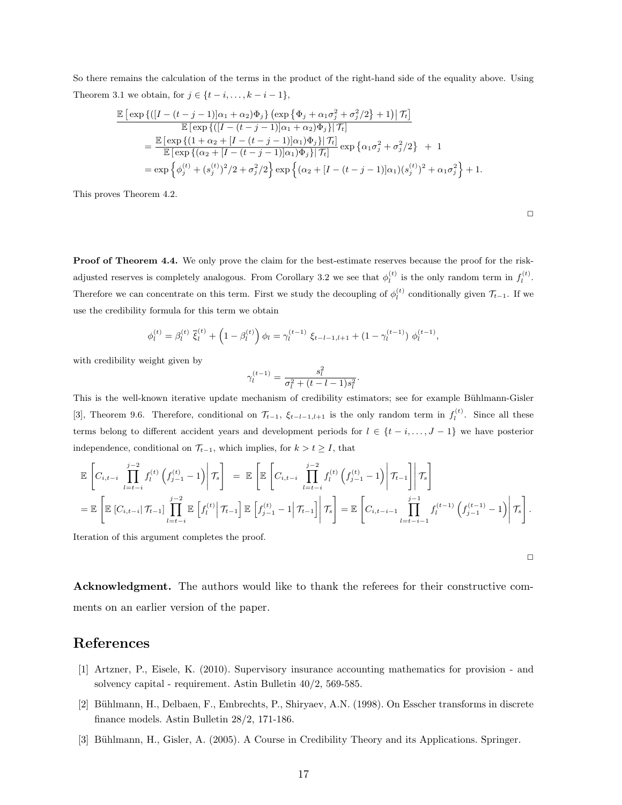So there remains the calculation of the terms in the product of the right-hand side of the equality above. Using Theorem 3.1 we obtain, for  $j \in \{t - i, \ldots, k - i - 1\}$ ,

$$
\frac{\mathbb{E}\left[\exp\left\{\left(\left[I - (t - j - 1)\right]\alpha_1 + \alpha_2\right)\Phi_j\right\} \left(\exp\left\{\Phi_j + \alpha_1\sigma_j^2 + \sigma_j^2/2\right\} + 1\right)\right]\mathcal{T}_t\right]}{\mathbb{E}\left[\exp\left\{\left([I - (t - j - 1)]\alpha_1 + \alpha_2\right)\Phi_j\right\}|\mathcal{T}_t\right]} \n= \frac{\mathbb{E}\left[\exp\left\{\left(1 + \alpha_2 + [I - (t - j - 1)]\alpha_1\right)\Phi_j\right\}|\mathcal{T}_t\right]}{\mathbb{E}\left[\exp\left\{\left(\alpha_2 + [I - (t - j - 1)]\alpha_1\right)\Phi_j\right\}|\mathcal{T}_t\right]} \exp\left\{\alpha_1\sigma_j^2 + \sigma_j^2/2\right\} + 1 \n= \exp\left\{\phi_j^{(t)} + (s_j^{(t)})^2/2 + \sigma_j^2/2\right\} \exp\left\{\left(\alpha_2 + [I - (t - j - 1)]\alpha_1\right)\left(s_j^{(t)}\right)^2 + \alpha_1\sigma_j^2\right\} + 1.
$$

This proves Theorem 4.2.

Proof of Theorem 4.4. We only prove the claim for the best-estimate reserves because the proof for the riskadjusted reserves is completely analogous. From Corollary 3.2 we see that  $\phi_l^{(t)}$  is the only random term in  $f_l^{(t)}$ . Therefore we can concentrate on this term. First we study the decoupling of  $\phi_l^{(t)}$  conditionally given  $\mathcal{T}_{t-1}$ . If we use the credibility formula for this term we obtain

$$
\phi_l^{(t)} = \beta_l^{(t)} \, \overline{\xi}_l^{(t)} + \left(1 - \beta_l^{(t)}\right) \phi_l = \gamma_l^{(t-1)} \, \xi_{t-l-1,l+1} + \left(1 - \gamma_l^{(t-1)}\right) \, \phi_l^{(t-1)},
$$

with credibility weight given by

$$
\gamma_l^{(t-1)} = \frac{s_l^2}{\sigma_l^2 + (t - l - 1)s_l^2}.
$$

This is the well-known iterative update mechanism of credibility estimators; see for example Bühlmann-Gisler [3], Theorem 9.6. Therefore, conditional on  $\mathcal{T}_{t-1}$ ,  $\xi_{t-l-1,l+1}$  is the only random term in  $f_l^{(t)}$ . Since all these terms belong to different accident years and development periods for  $l \in \{t - i, \ldots, J - 1\}$  we have posterior independence, conditional on  $\mathcal{T}_{t-1}$ , which implies, for  $k > t \geq I$ , that

$$
\mathbb{E}\left[C_{i,t-i}\prod_{l=t-i}^{j-2}f_l^{(t)}\left(f_{j-1}^{(t)}-1\right)\middle|\mathcal{T}_s\right] = \mathbb{E}\left[\mathbb{E}\left[C_{i,t-i}\prod_{l=t-i}^{j-2}f_l^{(t)}\left(f_{j-1}^{(t)}-1\right)\middle|\mathcal{T}_{t-1}\right]\middle|\mathcal{T}_s\right]
$$
\n
$$
= \mathbb{E}\left[\mathbb{E}\left[C_{i,t-i}\middle|\mathcal{T}_{t-1}\right]\prod_{l=t-i}^{j-2}\mathbb{E}\left[f_l^{(t)}\middle|\mathcal{T}_{t-1}\right]\mathbb{E}\left[f_{j-1}^{(t)}-1\middle|\mathcal{T}_{t-1}\right]\middle|\mathcal{T}_s\right] = \mathbb{E}\left[C_{i,t-i-1}\prod_{l=t-i-1}^{j-1}f_l^{(t-1)}\left(f_{j-1}^{(t-1)}-1\right)\middle|\mathcal{T}_s\right].
$$

Iteration of this argument completes the proof.

 $\Box$ 

 $\Box$ 

Acknowledgment. The authors would like to thank the referees for their constructive comments on an earlier version of the paper.

## References

- [1] Artzner, P., Eisele, K. (2010). Supervisory insurance accounting mathematics for provision and solvency capital - requirement. Astin Bulletin 40/2, 569-585.
- [2] Bühlmann, H., Delbaen, F., Embrechts, P., Shiryaev, A.N. (1998). On Esscher transforms in discrete finance models. Astin Bulletin 28/2, 171-186.
- [3] Bühlmann, H., Gisler, A. (2005). A Course in Credibility Theory and its Applications. Springer.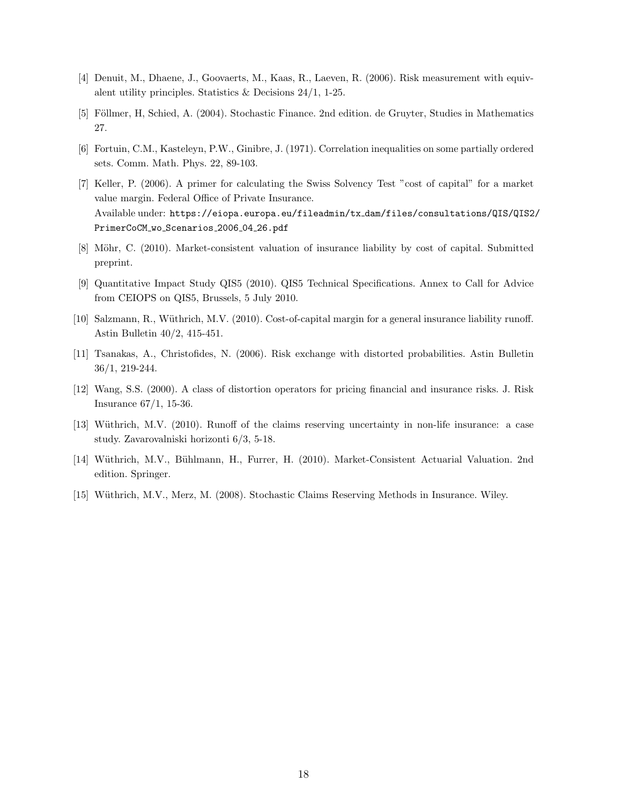- [4] Denuit, M., Dhaene, J., Goovaerts, M., Kaas, R., Laeven, R. (2006). Risk measurement with equivalent utility principles. Statistics  $\&$  Decisions 24/1, 1-25.
- [5] Föllmer, H, Schied, A. (2004). Stochastic Finance. 2nd edition. de Gruyter, Studies in Mathematics 27.
- [6] Fortuin, C.M., Kasteleyn, P.W., Ginibre, J. (1971). Correlation inequalities on some partially ordered sets. Comm. Math. Phys. 22, 89-103.
- [7] Keller, P. (2006). A primer for calculating the Swiss Solvency Test "cost of capital" for a market value margin. Federal Office of Private Insurance. Available under: https://eiopa.europa.eu/fileadmin/tx dam/files/consultations/QIS/QIS2/ PrimerCoCM\_wo\_Scenarios\_2006\_04\_26.pdf
- [8] Möhr, C. (2010). Market-consistent valuation of insurance liability by cost of capital. Submitted preprint.
- [9] Quantitative Impact Study QIS5 (2010). QIS5 Technical Specifications. Annex to Call for Advice from CEIOPS on QIS5, Brussels, 5 July 2010.
- [10] Salzmann, R., Wüthrich, M.V. (2010). Cost-of-capital margin for a general insurance liability runoff. Astin Bulletin 40/2, 415-451.
- [11] Tsanakas, A., Christofides, N. (2006). Risk exchange with distorted probabilities. Astin Bulletin 36/1, 219-244.
- [12] Wang, S.S. (2000). A class of distortion operators for pricing financial and insurance risks. J. Risk Insurance 67/1, 15-36.
- [13] Wüthrich, M.V. (2010). Runoff of the claims reserving uncertainty in non-life insurance: a case study. Zavarovalniski horizonti 6/3, 5-18.
- [14] Wüthrich, M.V., Bühlmann, H., Furrer, H. (2010). Market-Consistent Actuarial Valuation. 2nd edition. Springer.
- [15] Wüthrich, M.V., Merz, M. (2008). Stochastic Claims Reserving Methods in Insurance. Wiley.